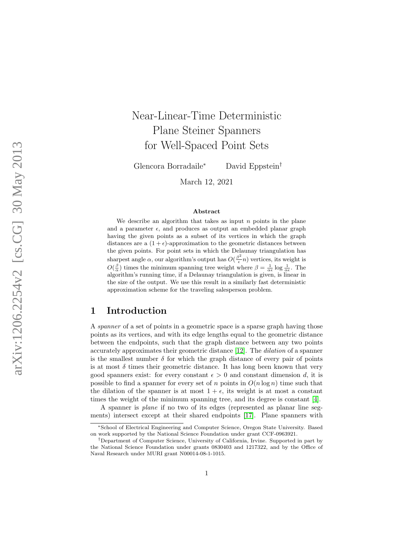# Near-Linear-Time Deterministic Plane Steiner Spanners for Well-Spaced Point Sets

Glencora Borradaile

<sup>∗</sup> David Eppstein †

March 12, 2021

#### Abstract

We describe an algorithm that takes as input  $n$  points in the plane and a parameter  $\epsilon$ , and produces as output an embedded planar graph having the given points as a subset of its vertices in which the graph distances are a  $(1+\epsilon)$ -approximation to the geometric distances between the given points. For point sets in which the Delaunay triangulation has sharpest angle  $\alpha$ , our algorithm's output has  $O(\frac{\beta^2}{\epsilon})$  $\frac{\partial^2}{\partial \epsilon}$ n) vertices, its weight is  $O(\frac{\beta}{\alpha})$  times the minimum spanning tree weight where  $\beta = \frac{1}{\alpha \epsilon} \log \frac{1}{\alpha \epsilon}$ . The algorithm's running time, if a Delaunay triangulation is given, is linear in the size of the output. We use this result in a similarly fast deterministic approximation scheme for the traveling salesperson problem.

# 1 Introduction

A spanner of a set of points in a geometric space is a sparse graph having those points as its vertices, and with its edge lengths equal to the geometric distance between the endpoints, such that the graph distance between any two points accurately approximates their geometric distance [\[12\]](#page-13-0). The dilation of a spanner is the smallest number  $\delta$  for which the graph distance of every pair of points is at most  $\delta$  times their geometric distance. It has long been known that very good spanners exist: for every constant  $\epsilon > 0$  and constant dimension d, it is possible to find a spanner for every set of n points in  $O(n \log n)$  time such that the dilation of the spanner is at most  $1 + \epsilon$ , its weight is at most a constant times the weight of the minimum spanning tree, and its degree is constant [\[4\]](#page-12-0).

A spanner is plane if no two of its edges (represented as planar line segments) intersect except at their shared endpoints [\[17\]](#page-13-1). Plane spanners with

<sup>∗</sup>School of Electrical Engineering and Computer Science, Oregon State University. Based on work supported by the National Science Foundation under grant CCF-0963921.

<sup>†</sup>Department of Computer Science, University of California, Irvine. Supported in part by the National Science Foundation under grants 0830403 and 1217322, and by the Office of Naval Research under MURI grant N00014-08-1-1015.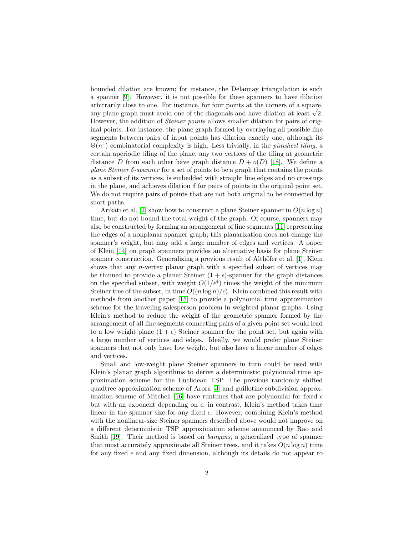bounded dilation are known; for instance, the Delaunay triangulation is such a spanner [\[9\]](#page-13-2). However, it is not possible for these spanners to have dilation arbitrarily close to one. For instance, for four points at the corners of a square, arbitrarily close to one. For instance, for four points at the corners of a square, any plane graph must avoid one of the diagonals and have dilation at least  $\sqrt{2}$ . However, the addition of Steiner points allows smaller dilation for pairs of original points. For instance, the plane graph formed by overlaying all possible line segments between pairs of input points has dilation exactly one, although its  $\Theta(n^4)$  combinatorial complexity is high. Less trivially, in the *pinwheel tiling*, a certain aperiodic tiling of the plane, any two vertices of the tiling at geometric distance D from each other have graph distance  $D + o(D)$  [\[18\]](#page-13-3). We define a plane Steiner δ-spanner for a set of points to be a graph that contains the points as a subset of its vertices, is embedded with straight line edges and no crossings in the plane, and achieves dilation  $\delta$  for pairs of points in the original point set. We do not require pairs of points that are not both original to be connected by short paths.

Arikati et al. [\[2\]](#page-12-1) show how to construct a plane Steiner spanner in  $O(n \log n)$ time, but do not bound the total weight of the graph. Of course, spanners may also be constructed by forming an arrangement of line segments [\[11\]](#page-13-4) representing the edges of a nonplanar spanner graph; this planarization does not change the spanner's weight, but may add a large number of edges and vertices. A paper of Klein [\[14\]](#page-13-5) on graph spanners provides an alternative basis for plane Steiner spanner construction. Generalizing a previous result of Althöfer et al. [\[1\]](#page-12-2), Klein shows that any *n*-vertex planar graph with a specified subset of vertices may be thinned to provide a planar Steiner  $(1 + \epsilon)$ -spanner for the graph distances on the specified subset, with weight  $O(1/\epsilon^4)$  times the weight of the minimum Steiner tree of the subset, in time  $O((n \log n)/\epsilon)$ . Klein combined this result with methods from another paper [\[15\]](#page-13-6) to provide a polynomial time approximation scheme for the traveling salesperson problem in weighted planar graphs. Using Klein's method to reduce the weight of the geometric spanner formed by the arrangement of all line segments connecting pairs of a given point set would lead to a low weight plane  $(1 + \epsilon)$  Steiner spanner for the point set, but again with a large number of vertices and edges. Ideally, we would prefer plane Steiner spanners that not only have low weight, but also have a linear number of edges and vertices.

Small and low-weight plane Steiner spanners in turn could be used with Klein's planar graph algorithms to derive a deterministic polynomial time approximation scheme for the Euclidean TSP. The previous randomly shifted quadtree approximation scheme of Arora [\[3\]](#page-12-3) and guillotine subdivision approx-imation scheme of Mitchell [\[16\]](#page-13-7) have runtimes that are polynomial for fixed  $\epsilon$ but with an exponent depending on  $\epsilon$ ; in contrast, Klein's method takes time linear in the spanner size for any fixed  $\epsilon$ . However, combining Klein's method with the nonlinear-size Steiner spanners described above would not improve on a different deterministic TSP approximation scheme announced by Rao and Smith [\[19\]](#page-13-8). Their method is based on *banyans*, a generalized type of spanner that must accurately approximate all Steiner trees, and it takes  $O(n \log n)$  time for any fixed  $\epsilon$  and any fixed dimension, although its details do not appear to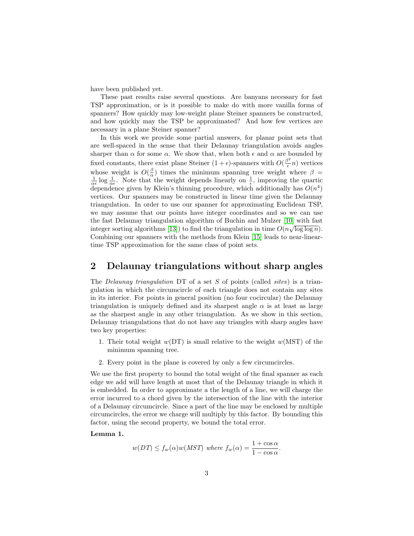have been published yet.

These past results raise several questions. Are banyans necessary for fast TSP approximation, or is it possible to make do with more vanilla forms of spanners? How quickly may low-weight plane Steiner spanners be constructed, and how quickly may the TSP be approximated? And how few vertices are necessary in a plane Steiner spanner?

In this work we provide some partial answers, for planar point sets that are well-spaced in the sense that their Delaunay triangulation avoids angles sharper than  $\alpha$  for some  $\alpha$ . We show that, when both  $\epsilon$  and  $\alpha$  are bounded by fixed constants, there exist plane Steiner  $(1 + \epsilon)$ -spanners with  $O(\frac{\beta^2}{\epsilon})$  $\frac{\partial^2}{\partial \epsilon} n$ ) vertices whose weight is  $O(\frac{\beta}{\alpha})$  times the minimum spanning tree weight where  $\beta = \frac{1}{\alpha \epsilon} \log \frac{1}{\alpha \epsilon}$ . Note that the weight depends linearly on  $\frac{1}{\epsilon}$ , improving the quartic dependence given by Klein's thinning procedure, which additionally has  $O(n^4)$ vertices. Our spanners may be constructed in linear time given the Delaunay triangulation. In order to use our spanner for approximating Euclidean TSP, we may assume that our points have integer coordinates and so we can use the fast Delaunay triangulation algorithm of Buchin and Mulzer [\[10\]](#page-13-9) with fast √ integer sorting algorithms [\[13\]](#page-13-10)) to find the triangulation in time  $O(n\sqrt{\log \log n})$ . Combining our spanners with the methods from Klein [\[15\]](#page-13-6) leads to near-lineartime TSP approximation for the same class of point sets.

# 2 Delaunay triangulations without sharp angles

The *Delaunay triangulation* DT of a set S of points (called *sites*) is a triangulation in which the circumcircle of each triangle does not contain any sites in its interior. For points in general position (no four cocircular) the Delaunay triangulation is uniquely defined and its sharpest angle  $\alpha$  is at least as large as the sharpest angle in any other triangulation. As we show in this section, Delaunay triangulations that do not have any triangles with sharp angles have two key properties:

- 1. Their total weight  $w(DT)$  is small relative to the weight  $w(MST)$  of the minimum spanning tree.
- 2. Every point in the plane is covered by only a few circumcircles.

We use the first property to bound the total weight of the final spanner as each edge we add will have length at most that of the Delaunay triangle in which it is embedded. In order to approximate a the length of a line, we will charge the error incurred to a chord given by the intersection of the line with the interior of a Delaunay circumcircle. Since a part of the line may be enclosed by multiple circumcircles, the error we charge will multiply by this factor. By bounding this factor, using the second property, we bound the total error.

#### <span id="page-2-0"></span>Lemma 1.

$$
w(DT) \le f_w(\alpha)w(MST)
$$
 where  $f_w(\alpha) = \frac{1 + \cos \alpha}{1 - \cos \alpha}$ .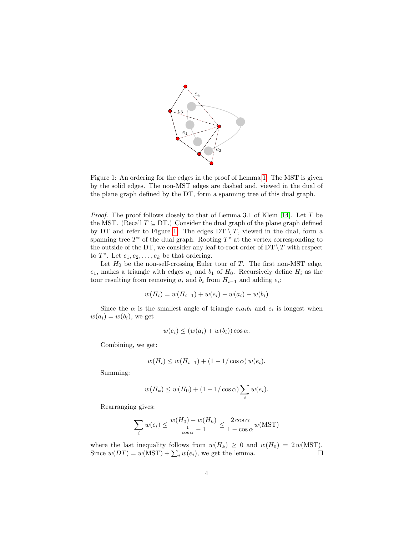

<span id="page-3-0"></span>Figure 1: An ordering for the edges in the proof of Lemma [1.](#page-2-0) The MST is given by the solid edges. The non-MST edges are dashed and, viewed in the dual of the plane graph defined by the DT, form a spanning tree of this dual graph.

*Proof.* The proof follows closely to that of Lemma 3.1 of Klein [\[14\]](#page-13-5). Let  $T$  be the MST. (Recall  $T \subseteq DT$ .) Consider the dual graph of the plane graph defined by DT and refer to Figure [1.](#page-3-0) The edges  $DT \setminus T$ , viewed in the dual, form a spanning tree  $T^*$  of the dual graph. Rooting  $T^*$  at the vertex corresponding to the outside of the DT, we consider any leaf-to-root order of  $DT \ T$  with respect to  $T^*$ . Let  $e_1, e_2, \ldots, e_k$  be that ordering.

Let  $H_0$  be the non-self-crossing Euler tour of T. The first non-MST edge,  $e_1$ , makes a triangle with edges  $a_1$  and  $b_1$  of  $H_0$ . Recursively define  $H_i$  as the tour resulting from removing  $a_i$  and  $b_i$  from  $H_{i-1}$  and adding  $e_i$ :

$$
w(H_i) = w(H_{i-1}) + w(e_i) - w(a_i) - w(b_i)
$$

Since the  $\alpha$  is the smallest angle of triangle  $e_i a_i b_i$  and  $e_i$  is longest when  $w(a_i) = w(b_i)$ , we get

$$
w(e_i) \le (w(a_i) + w(b_i)) \cos \alpha.
$$

Combining, we get:

$$
w(H_i) \le w(H_{i-1}) + (1 - 1/\cos \alpha) w(e_i).
$$

Summing:

$$
w(H_k) \le w(H_0) + (1 - 1/\cos \alpha) \sum_i w(e_i).
$$

Rearranging gives:

$$
\sum_{i} w(e_i) \le \frac{w(H_0) - w(H_k)}{\frac{1}{\cos \alpha} - 1} \le \frac{2 \cos \alpha}{1 - \cos \alpha} w(MST)
$$

where the last inequality follows from  $w(H_k) \ge 0$  and  $w(H_0) = 2 w(MST)$ .<br>Since  $w(DT) = w(MST) + \sum_i w(e_i)$ , we get the lemma. Since  $w(DT) = w(MST) + \sum_i w(e_i)$ , we get the lemma.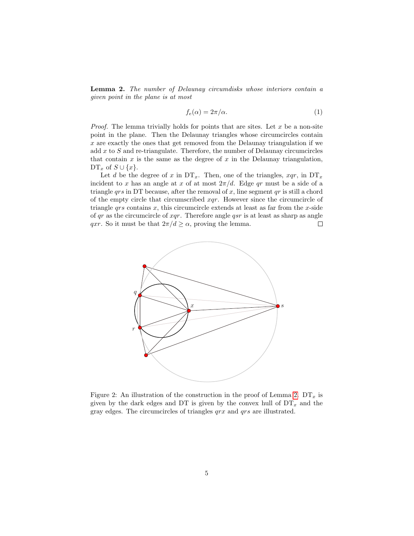<span id="page-4-0"></span>Lemma 2. The number of Delaunay circumdisks whose interiors contain a given point in the plane is at most

$$
f_e(\alpha) = 2\pi/\alpha. \tag{1}
$$

*Proof.* The lemma trivially holds for points that are sites. Let  $x$  be a non-site point in the plane. Then the Delaunay triangles whose circumcircles contain x are exactly the ones that get removed from the Delaunay triangulation if we add  $x$  to  $S$  and re-triangulate. Therefore, the number of Delaunay circumcircles that contain  $x$  is the same as the degree of  $x$  in the Delaunay triangulation,  $DT_x$  of  $S \cup \{x\}$ .

Let d be the degree of x in  $DT_x$ . Then, one of the triangles,  $xqr$ , in  $DT_x$ incident to x has an angle at x of at most  $2\pi/d$ . Edge qr must be a side of a triangle  $qrs$  in DT because, after the removal of x, line segment  $qr$  is still a chord of the empty circle that circumscribed  $xqr$ . However since the circumcircle of triangle  $qrs$  contains  $x$ , this circumcircle extends at least as far from the  $x$ -side of  $qr$  as the circumcircle of  $xqr$ . Therefore angle  $qsr$  is at least as sharp as angle qxr. So it must be that  $2\pi/d \ge \alpha$ , proving the lemma.  $\Box$ 



Figure 2: An illustration of the construction in the proof of Lemma [2.](#page-4-0)  $DT_x$  is given by the dark edges and DT is given by the convex hull of  $DT_x$  and the gray edges. The circumcircles of triangles qrx and qrs are illustrated.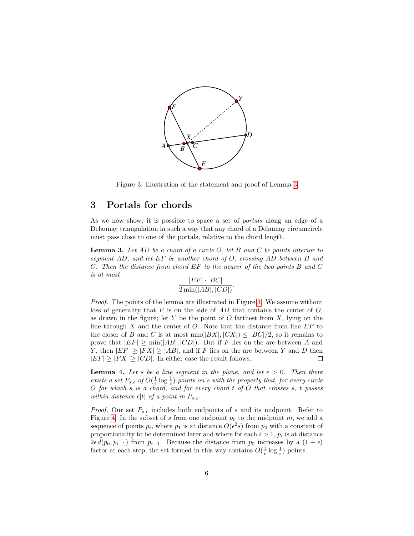

<span id="page-5-1"></span>Figure 3: Illustration of the statement and proof of Lemma [3](#page-5-0)

## 3 Portals for chords

As we now show, it is possible to space a set of portals along an edge of a Delaunay triangulation in such a way that any chord of a Delaunay circumcircle must pass close to one of the portals, relative to the chord length.

<span id="page-5-0"></span>**Lemma 3.** Let AD be a chord of a circle O, let B and C be points interior to segment AD, and let EF be another chord of O, crossing AD between B and C. Then the distance from chord EF to the nearer of the two points B and C is at most

$$
\frac{|EF| \cdot |BC|}{2 \min(|AB|, |CD|)}.
$$

Proof. The points of the lemma are illustrated in Figure [3.](#page-5-1) We assume without loss of generality that  $F$  is on the side of  $AD$  that contains the center of  $O$ , as drawn in the figure; let Y be the point of O farthest from  $X$ , lying on the line through X and the center of O. Note that the distance from line  $EF$  to the closer of B and C is at most  $\min(|BX|, |CX|) \leq |BC|/2$ , so it remains to prove that  $|EF| \ge \min(|AB|, |CD|)$ . But if F lies on the arc between A and Y, then  $|EF| > |FX| > |AB|$ , and if F lies on the arc between Y and D then  $|EF| > |FX| > |CD|$ . In either case the result follows.  $\Box$ 

<span id="page-5-2"></span>**Lemma 4.** Let s be a line segment in the plane, and let  $\epsilon > 0$ . Then there exists a set  $P_{s,\epsilon}$  of  $O(\frac{1}{\epsilon} \log \frac{1}{\epsilon})$  points on s with the property that, for every circle  $O$  for which s is a chord, and for every chord  $t$  of  $O$  that crosses  $s, t$  passes within distance  $\epsilon |t|$  of a point in  $P_{s,\epsilon}$ .

*Proof.* Our set  $P_{s,\epsilon}$  includes both endpoints of s and its midpoint. Refer to Figure [4.](#page-6-0) In the subset of s from one endpoint  $p_0$  to the midpoint m, we add a sequence of points  $p_i$ , where  $p_1$  is at distance  $O(\epsilon^2 s)$  from  $p_0$  with a constant of proportionality to be determined later and where for each  $i > 1$ ,  $p_i$  is at distance  $2\epsilon d(p_0, p_{i-1})$  from  $p_{i-1}$ . Because the distance from  $p_0$  increases by a  $(1 + \epsilon)$ factor at each step, the set formed in this way contains  $O(\frac{1}{\epsilon} \log \frac{1}{\epsilon})$  points.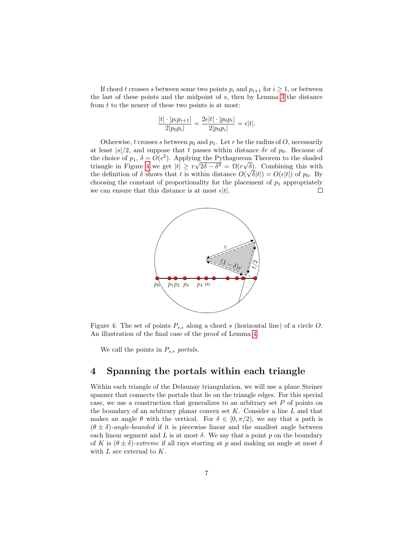If chord t crosses s between some two points  $p_i$  and  $p_{i+1}$  for  $i \geq 1$ , or between the last of these points and the midpoint of s, then by Lemma [3](#page-5-0) the distance from  $t$  to the nearer of these two points is at most:

$$
\frac{|t| \cdot |p_i p_{i+1}|}{2|p_0 p_i|} = \frac{2\epsilon |t| \cdot |p_0 p_i|}{2|p_0 p_i|} = \epsilon |t|.
$$

Otherwise, t crosses s between  $p_0$  and  $p_1$ . Let r be the radius of O, necessarily at least  $|s|/2$ , and suppose that t passes within distance  $\delta r$  of  $p_0$ . Because of the choice of  $p_1$ ,  $\delta = O(\epsilon^2)$ . Applying the Pythagorean Theorem to the shaded √ √  $2\delta - \delta^2 = \Omega(r)$ triangle in Figure [4](#page-6-0) we get  $|t| \geq r$  $\sqrt{\delta}$ ). Combining this with the definition of  $\delta$  shows that t is within distance  $O(\sqrt{\delta}|t|) = O(\epsilon|t|)$  of  $p_0$ . By choosing the constant of proportionality for the placement of  $p_1$  appropriately we can ensure that this distance is at most  $\epsilon |t|$ .  $\Box$ 



<span id="page-6-0"></span>Figure 4: The set of points  $P_{s,\epsilon}$  along a chord s (horizontal line) of a circle O. An illustration of the final case of the proof of Lemma [4.](#page-5-2)

We call the points in  $P_{s,\epsilon}$  portals.

## 4 Spanning the portals within each triangle

Within each triangle of the Delaunay triangulation, we will use a plane Steiner spanner that connects the portals that lie on the triangle edges. For this special case, we use a construction that generalizes to an arbitrary set  $P$  of points on the boundary of an arbitrary planar convex set  $K$ . Consider a line  $L$  and that makes an angle  $\theta$  with the vertical. For  $\delta \in [0, \pi/2)$ , we say that a path is  $(\theta \pm \delta)$ -angle-bounded if it is piecewise linear and the smallest angle between each linear segment and L is at most  $\delta$ . We say that a point p on the boundary of K is  $(\theta \pm \delta)$ -extreme if all rays starting at p and making an angle at most  $\delta$ with  $L$  are external to  $K$ .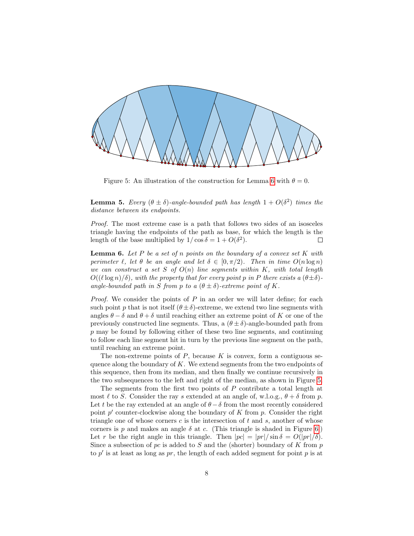

<span id="page-7-1"></span>Figure 5: An illustration of the construction for Lemma [6](#page-7-0) with  $\theta = 0$ .

<span id="page-7-2"></span>**Lemma 5.** Every  $(\theta \pm \delta)$ -angle-bounded path has length  $1 + O(\delta^2)$  times the distance between its endpoints.

Proof. The most extreme case is a path that follows two sides of an isosceles triangle having the endpoints of the path as base, for which the length is the length of the base multiplied by  $1/\cos \delta = 1 + O(\delta^2)$ .  $\Box$ 

<span id="page-7-0"></span>**Lemma 6.** Let  $P$  be a set of  $n$  points on the boundary of a convex set  $K$  with perimeter  $\ell$ , let  $\theta$  be an angle and let  $\delta \in [0, \pi/2)$ . Then in time  $O(n \log n)$ we can construct a set S of  $O(n)$  line segments within K, with total length  $O((\ell \log n)/\delta)$ , with the property that for every point p in P there exists a  $(\theta \pm \delta)$ angle-bounded path in S from p to a  $(\theta \pm \delta)$ -extreme point of K.

*Proof.* We consider the points of  $P$  in an order we will later define; for each such point p that is not itself  $(\theta \pm \delta)$ -extreme, we extend two line segments with angles  $\theta - \delta$  and  $\theta + \delta$  until reaching either an extreme point of K or one of the previously constructed line segments. Thus, a  $(\theta \pm \delta)$ -angle-bounded path from p may be found by following either of these two line segments, and continuing to follow each line segment hit in turn by the previous line segment on the path, until reaching an extreme point.

The non-extreme points of  $P$ , because  $K$  is convex, form a contiguous sequence along the boundary of  $K$ . We extend segments from the two endpoints of this sequence, then from its median, and then finally we continue recursively in the two subsequences to the left and right of the median, as shown in Figure [5.](#page-7-1)

The segments from the first two points of P contribute a total length at most  $\ell$  to S. Consider the ray s extended at an angle of, w.l.o.g.,  $\theta + \delta$  from p. Let t be the ray extended at an angle of  $\theta - \delta$  from the most recently considered point  $p'$  counter-clockwise along the boundary of  $K$  from  $p$ . Consider the right triangle one of whose corners  $c$  is the intersection of  $t$  and  $s$ , another of whose corners is p and makes an angle  $\delta$  at c. (This triangle is shaded in Figure [6.](#page-8-0)) Let r be the right angle in this triangle. Then  $|pc| = |pr| / \sin \delta = O(|pr| / \delta)$ . Since a subsection of pc is added to S and the (shorter) boundary of K from p to  $p'$  is at least as long as  $pr$ , the length of each added segment for point  $p$  is at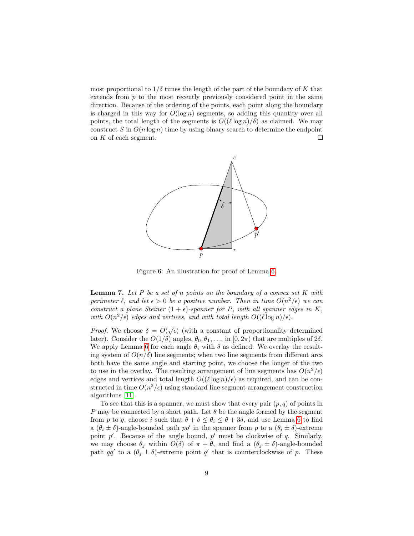most proportional to  $1/\delta$  times the length of the part of the boundary of K that extends from  $p$  to the most recently previously considered point in the same direction. Because of the ordering of the points, each point along the boundary is charged in this way for  $O(\log n)$  segments, so adding this quantity over all points, the total length of the segments is  $O((\ell \log n)/\delta)$  as claimed. We may construct S in  $O(n \log n)$  time by using binary search to determine the endpoint on K of each segment.  $\Box$ 



<span id="page-8-0"></span>Figure 6: An illustration for proof of Lemma [6.](#page-7-0)

<span id="page-8-1"></span>**Lemma 7.** Let P be a set of n points on the boundary of a convex set  $K$  with perimeter  $\ell$ , and let  $\epsilon > 0$  be a positive number. Then in time  $O(n^2/\epsilon)$  we can construct a plane Steiner  $(1 + \epsilon)$ -spanner for P, with all spanner edges in K, with  $O(n^2/\epsilon)$  edges and vertices, and with total length  $O((\ell \log n)/\epsilon)$ .

*Proof.* We choose  $\delta = O(\sqrt{\epsilon})$  (with a constant of proportionality determined later). Consider the  $O(1/\delta)$  angles,  $\theta_0, \theta_1, \ldots$ , in  $[0, 2\pi)$  that are multiples of  $2\delta$ . We apply Lemma [6](#page-7-0) for each angle  $\theta_i$  with  $\delta$  as defined. We overlay the resulting system of  $O(n/\delta)$  line segments; when two line segments from different arcs both have the same angle and starting point, we choose the longer of the two to use in the overlay. The resulting arrangement of line segments has  $O(n^2/\epsilon)$ edges and vertices and total length  $O((\ell \log n)/\epsilon)$  as required, and can be constructed in time  $O(n^2/\epsilon)$  using standard line segment arrangement construction algorithms [\[11\]](#page-13-4).

To see that this is a spanner, we must show that every pair  $(p, q)$  of points in P may be connected by a short path. Let  $\theta$  be the angle formed by the segment from p to q, choose i such that  $\theta + \delta \leq \theta_i \leq \theta + 3\delta$ , and use Lemma [6](#page-7-0) to find a  $(\theta_i \pm \delta)$ -angle-bounded path  $pp'$  in the spanner from p to a  $(\theta_i \pm \delta)$ -extreme point  $p'$ . Because of the angle bound,  $p'$  must be clockwise of  $q$ . Similarly, we may choose  $\theta_j$  within  $O(\delta)$  of  $\pi + \theta$ , and find a  $(\theta_j \pm \delta)$ -angle-bounded path qq' to a  $(\theta_j \pm \delta)$ -extreme point q' that is counterclockwise of p. These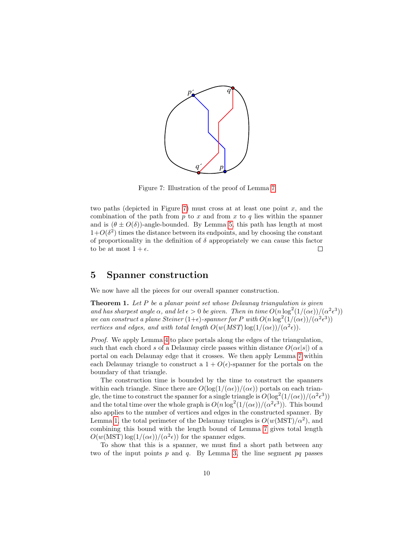

<span id="page-9-0"></span>Figure 7: Illustration of the proof of Lemma [7](#page-8-1)

two paths (depicted in Figure [7\)](#page-9-0) must cross at at least one point  $x$ , and the combination of the path from  $p$  to  $x$  and from  $x$  to  $q$  lies within the spanner and is  $(\theta \pm O(\delta))$ -angle-bounded. By Lemma [5,](#page-7-2) this path has length at most  $1+O(\delta^2)$  times the distance between its endpoints, and by choosing the constant of proportionality in the definition of  $\delta$  appropriately we can cause this factor to be at most  $1 + \epsilon$ .  $\Box$ 

#### 5 Spanner construction

We now have all the pieces for our overall spanner construction.

**Theorem 1.** Let P be a planar point set whose Delaunay triangulation is given and has sharpest angle  $\alpha$ , and let  $\epsilon > 0$  be given. Then in time  $O(n \log^2(1/(\alpha \epsilon))/(\alpha^2 \epsilon^3))$ we can construct a plane Steiner  $(1+\epsilon)$ -spanner for P with  $O(n \log^2(1/(\alpha \epsilon))/(\alpha^2 \epsilon^3))$ vertices and edges, and with total length  $O(w(MST) \log(1/(\alpha \epsilon))/(\alpha^2 \epsilon)).$ 

Proof. We apply Lemma [4](#page-5-2) to place portals along the edges of the triangulation, such that each chord s of a Delaunay circle passes within distance  $O(\alpha \epsilon |s|)$  of a portal on each Delaunay edge that it crosses. We then apply Lemma [7](#page-8-1) within each Delaunay triangle to construct a  $1 + O(\epsilon)$ -spanner for the portals on the boundary of that triangle.

The construction time is bounded by the time to construct the spanners within each triangle. Since there are  $O(\log(1/(\alpha \epsilon))/(\alpha \epsilon))$  portals on each triangle, the time to construct the spanner for a single triangle is  $O(\log^2(1/(\alpha \epsilon))/(\alpha^2 \epsilon^3))$ and the total time over the whole graph is  $O(n \log^2(1/(\alpha \epsilon))/(\alpha^2 \epsilon^3))$ . This bound also applies to the number of vertices and edges in the constructed spanner. By Lemma [1,](#page-2-0) the total perimeter of the Delaunay triangles is  $O(w(MST)/\alpha^2)$ , and combining this bound with the length bound of Lemma [7](#page-8-1) gives total length  $O(w(MST) \log(1/(\alpha \epsilon))/(\alpha^2 \epsilon))$  for the spanner edges.

To show that this is a spanner, we must find a short path between any two of the input points  $p$  and  $q$ . By Lemma [3,](#page-5-0) the line segment  $pq$  passes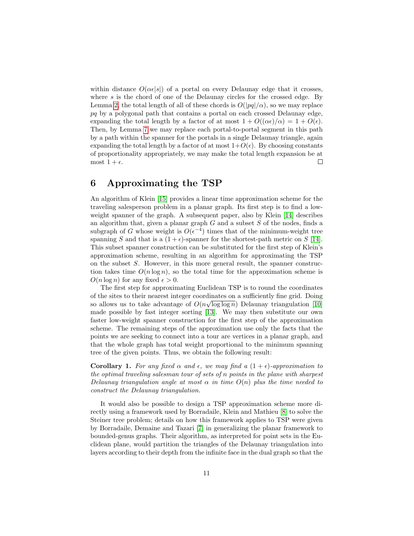within distance  $O(\alpha \epsilon |s|)$  of a portal on every Delaunay edge that it crosses, where  $s$  is the chord of one of the Delaunay circles for the crossed edge. By Lemma [2,](#page-4-0) the total length of all of these chords is  $O(|pq|/\alpha)$ , so we may replace  $pq$  by a polygonal path that contains a portal on each crossed Delaunay edge, expanding the total length by a factor of at most  $1 + O((\alpha \epsilon)/\alpha) = 1 + O(\epsilon)$ . Then, by Lemma [7](#page-8-1) we may replace each portal-to-portal segment in this path by a path within the spanner for the portals in a single Delaunay triangle, again expanding the total length by a factor of at most  $1+O(\epsilon)$ . By choosing constants of proportionality appropriately, we may make the total length expansion be at most  $1 + \epsilon$ .  $\Box$ 

# 6 Approximating the TSP

An algorithm of Klein [\[15\]](#page-13-6) provides a linear time approximation scheme for the traveling salesperson problem in a planar graph. Its first step is to find a lowweight spanner of the graph. A subsequent paper, also by Klein [\[14\]](#page-13-5) describes an algorithm that, given a planar graph  $G$  and a subset  $S$  of the nodes, finds a subgraph of G whose weight is  $O(\epsilon^{-4})$  times that of the minimum-weight tree spanning S and that is a  $(1 + \epsilon)$ -spanner for the shortest-path metric on S [\[14\]](#page-13-5). This subset spanner construction can be substituted for the first step of Klein's approximation scheme, resulting in an algorithm for approximating the TSP on the subset S. However, in this more general result, the spanner construction takes time  $O(n \log n)$ , so the total time for the approximation scheme is  $O(n \log n)$  for any fixed  $\epsilon > 0$ .

The first step for approximating Euclidean TSP is to round the coordinates of the sites to their nearest integer coordinates on a sufficiently fine grid. Doing so allows us to take advantage of  $O(n\sqrt{\log \log n})$  Delaunay triangulation [\[10\]](#page-13-9) made possible by fast integer sorting [\[13\]](#page-13-10). We may then substitute our own faster low-weight spanner construction for the first step of the approximation scheme. The remaining steps of the approximation use only the facts that the points we are seeking to connect into a tour are vertices in a planar graph, and that the whole graph has total weight proportional to the minimum spanning tree of the given points. Thus, we obtain the following result:

**Corollary 1.** For any fixed  $\alpha$  and  $\epsilon$ , we may find a  $(1 + \epsilon)$ -approximation to the optimal traveling salesman tour of sets of n points in the plane with sharpest Delaunay triangulation angle at most  $\alpha$  in time  $O(n)$  plus the time needed to construct the Delaunay triangulation.

It would also be possible to design a TSP approximation scheme more directly using a framework used by Borradaile, Klein and Mathieu [\[8\]](#page-13-11) to solve the Steiner tree problem; details on how this framework applies to TSP were given by Borradaile, Demaine and Tazari [\[7\]](#page-12-4) in generalizing the planar framework to bounded-genus graphs. Their algorithm, as interpreted for point sets in the Euclidean plane, would partition the triangles of the Delaunay triangulation into layers according to their depth from the infinite face in the dual graph so that the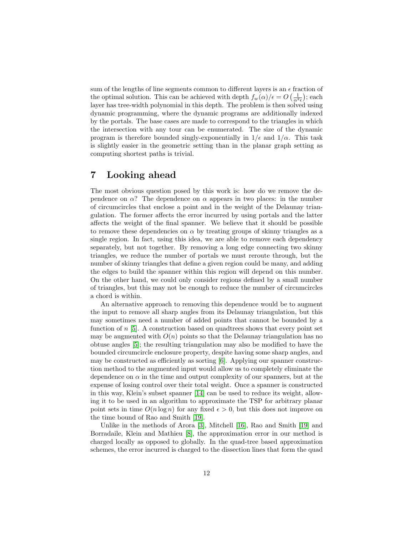sum of the lengths of line segments common to different layers is an  $\epsilon$  fraction of the optimal solution. This can be achieved with depth  $f_w(\alpha)/\epsilon = O\left(\frac{1}{\alpha^2 \epsilon}\right)$ ; each layer has tree-width polynomial in this depth. The problem is then solved using dynamic programming, where the dynamic programs are additionally indexed by the portals. The base cases are made to correspond to the triangles in which the intersection with any tour can be enumerated. The size of the dynamic program is therefore bounded singly-exponentially in  $1/\epsilon$  and  $1/\alpha$ . This task is slightly easier in the geometric setting than in the planar graph setting as computing shortest paths is trivial.

## 7 Looking ahead

The most obvious question posed by this work is: how do we remove the dependence on  $\alpha$ ? The dependence on  $\alpha$  appears in two places: in the number of circumcircles that enclose a point and in the weight of the Delaunay triangulation. The former affects the error incurred by using portals and the latter affects the weight of the final spanner. We believe that it should be possible to remove these dependencies on  $\alpha$  by treating groups of skinny triangles as a single region. In fact, using this idea, we are able to remove each dependency separately, but not together. By removing a long edge connecting two skinny triangles, we reduce the number of portals we must reroute through, but the number of skinny triangles that define a given region could be many, and adding the edges to build the spanner within this region will depend on this number. On the other hand, we could only consider regions defined by a small number of triangles, but this may not be enough to reduce the number of circumcircles a chord is within.

An alternative approach to removing this dependence would be to augment the input to remove all sharp angles from its Delaunay triangulation, but this may sometimes need a number of added points that cannot be bounded by a function of  $n \geq 5$ . A construction based on quadtrees shows that every point set may be augmented with  $O(n)$  points so that the Delaunay triangulation has no obtuse angles [\[5\]](#page-12-5); the resulting triangulation may also be modified to have the bounded circumcircle enclosure property, despite having some sharp angles, and may be constructed as efficiently as sorting [\[6\]](#page-12-6). Applying our spanner construction method to the augmented input would allow us to completely eliminate the dependence on  $\alpha$  in the time and output complexity of our spanners, but at the expense of losing control over their total weight. Once a spanner is constructed in this way, Klein's subset spanner [\[14\]](#page-13-5) can be used to reduce its weight, allowing it to be used in an algorithm to approximate the TSP for arbitrary planar point sets in time  $O(n \log n)$  for any fixed  $\epsilon > 0$ , but this does not improve on the time bound of Rao and Smith [\[19\]](#page-13-8).

Unlike in the methods of Arora [\[3\]](#page-12-3), Mitchell [\[16\]](#page-13-7), Rao and Smith [\[19\]](#page-13-8) and Borradaile, Klein and Mathieu [\[8\]](#page-13-11), the approximation error in our method is charged locally as opposed to globally. In the quad-tree based approximation schemes, the error incurred is charged to the dissection lines that form the quad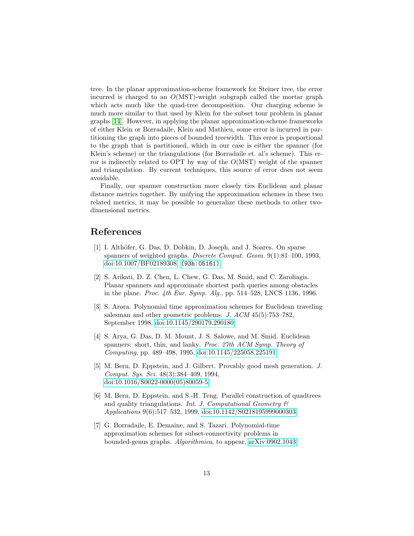tree. In the planar approximation-scheme framework for Steiner tree, the error incurred is charged to an  $O(MST)$ -weight subgraph called the mortar graph which acts much like the quad-tree decomposition. Our charging scheme is much more similar to that used by Klein for the subset tour problem in planar graphs [\[14\]](#page-13-5). However, in applying the planar approximation-scheme frameworks of either Klein or Borradaile, Klein and Mathieu, some error is incurred in partitioning the graph into pieces of bounded treewidth. This error is proportional to the graph that is partitioned, which in our case is either the spanner (for Klein's scheme) or the triangulations (for Borradaile et. al's scheme). This error is indirectly related to OPT by way of the  $O(MST)$  weight of the spanner and triangulation. By current techniques, this source of error does not seem avoidable.

Finally, our spanner construction more closely ties Euclidean and planar distance metrics together. By unifying the approximation schemes in these two related metrics, it may be possible to generalize these methods to other twodimensional metrics.

# References

- <span id="page-12-2"></span>[1] I. Althöfer, G. Das, D. Dobkin, D. Joseph, and J. Soares. On sparse spanners of weighted graphs. Discrete Comput. Geom. 9(1):81–100, 1993, [doi:10.1007/BF02189308,](http://dx.doi.org/10.1007/BF02189308) [\(93h:05161\)]((93h:05161)).
- <span id="page-12-1"></span>[2] S. Arikati, D. Z. Chen, L. Chew, G. Das, M. Smid, and C. Zaroliagis. Planar spanners and approximate shortest path queries among obstacles in the plane. Proc. 4th Eur. Symp. Alg., pp. 514–528, LNCS 1136, 1996.
- <span id="page-12-3"></span>[3] S. Arora. Polynomial time approximation schemes for Euclidean traveling salesman and other geometric problems. J. ACM 45(5):753–782, September 1998, [doi:10.1145/290179.290180.](http://dx.doi.org/10.1145/290179.290180)
- <span id="page-12-0"></span>[4] S. Arya, G. Das, D. M. Mount, J. S. Salowe, and M. Smid. Euclidean spanners: short, thin, and lanky. Proc. 27th ACM Symp. Theory of Computing, pp. 489–498, 1995, [doi:10.1145/225058.225191.](http://dx.doi.org/10.1145/225058.225191)
- <span id="page-12-5"></span>[5] M. Bern, D. Eppstein, and J. Gilbert. Provably good mesh generation. J. Comput. Sys. Sci. 48(3):384–409, 1994, [doi:10.1016/S0022-0000\(05\)80059-5.](http://dx.doi.org/10.1016/S0022-0000(05)80059-5)
- <span id="page-12-6"></span>[6] M. Bern, D. Eppstein, and S.-H. Teng. Parallel construction of quadtrees and quality triangulations. Int. J. Computational Geometry  $\mathcal{C}$ Applications 9(6):517–532, 1999, [doi:10.1142/S0218195999000303.](http://dx.doi.org/10.1142/S0218195999000303)
- <span id="page-12-4"></span>[7] G. Borradaile, E. Demaine, and S. Tazari. Polynomial-time approximation schemes for subset-connectivity problems in bounded-genus graphs. Algorithmica, to appear, [arXiv:0902.1043.](http://arxiv.org/abs/0902.1043)